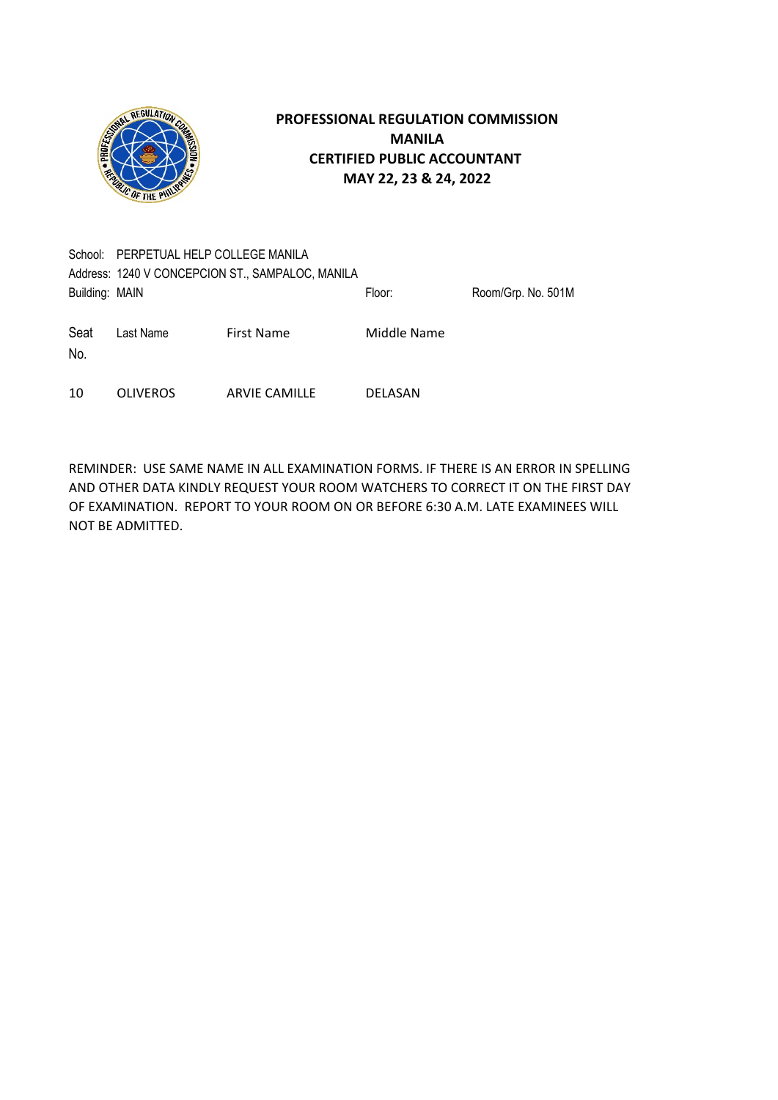

|                | School: PERPETUAL HELP COLLEGE MANILA            |                      |             |                    |  |  |
|----------------|--------------------------------------------------|----------------------|-------------|--------------------|--|--|
|                | Address: 1240 V CONCEPCION ST., SAMPALOC, MANILA |                      |             |                    |  |  |
| Building: MAIN |                                                  |                      | Floor:      | Room/Grp. No. 501M |  |  |
| Seat<br>No.    | Last Name                                        | <b>First Name</b>    | Middle Name |                    |  |  |
| 10             | <b>OLIVEROS</b>                                  | <b>ARVIE CAMILLE</b> | DELASAN     |                    |  |  |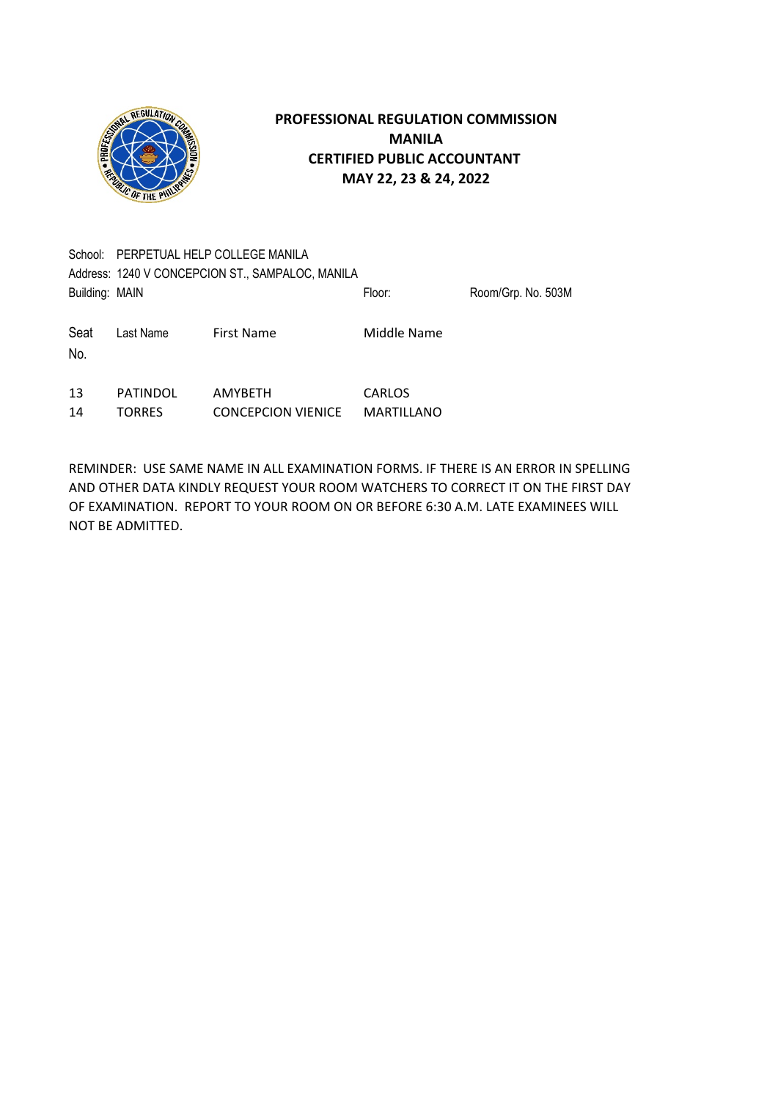

|                | School: PERPETUAL HELP COLLEGE MANILA            |                                             |                                    |                    |  |  |
|----------------|--------------------------------------------------|---------------------------------------------|------------------------------------|--------------------|--|--|
|                | Address: 1240 V CONCEPCION ST., SAMPALOC, MANILA |                                             |                                    |                    |  |  |
| Building: MAIN |                                                  |                                             | Floor:                             | Room/Grp. No. 503M |  |  |
| Seat<br>No.    | Last Name                                        | <b>First Name</b>                           | Middle Name                        |                    |  |  |
| 13<br>14       | <b>PATINDOL</b><br><b>TORRES</b>                 | <b>AMYBETH</b><br><b>CONCEPCION VIENICE</b> | <b>CARLOS</b><br><b>MARTILLANO</b> |                    |  |  |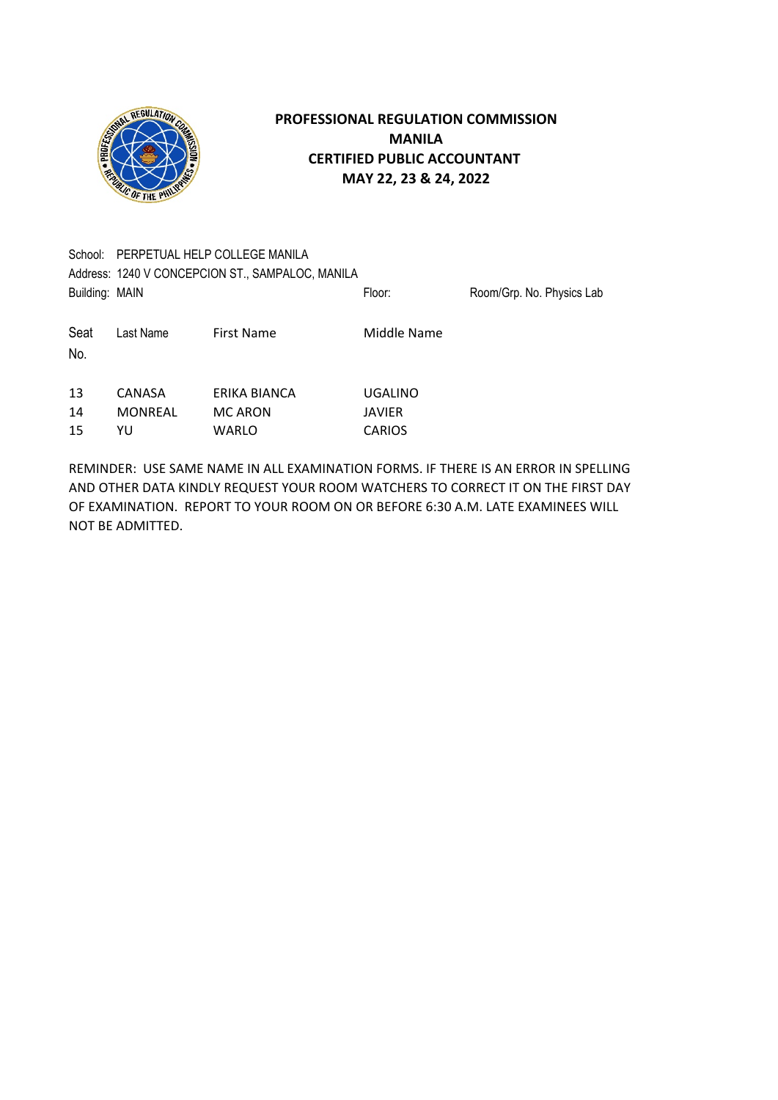

| School: PERPETUAL HELP COLLEGE MANILA |                   |                |                                                            |  |  |
|---------------------------------------|-------------------|----------------|------------------------------------------------------------|--|--|
|                                       |                   |                |                                                            |  |  |
|                                       |                   |                | Room/Grp. No. Physics Lab                                  |  |  |
| Last Name                             | <b>First Name</b> | Middle Name    |                                                            |  |  |
|                                       |                   |                |                                                            |  |  |
| CANASA                                | ERIKA BIANCA      | <b>UGALINO</b> |                                                            |  |  |
| <b>MONREAL</b>                        | <b>MC ARON</b>    | <b>JAVIER</b>  |                                                            |  |  |
| YU                                    | WARLO             | <b>CARIOS</b>  |                                                            |  |  |
|                                       | Building: MAIN    |                | Address: 1240 V CONCEPCION ST., SAMPALOC, MANILA<br>Floor: |  |  |